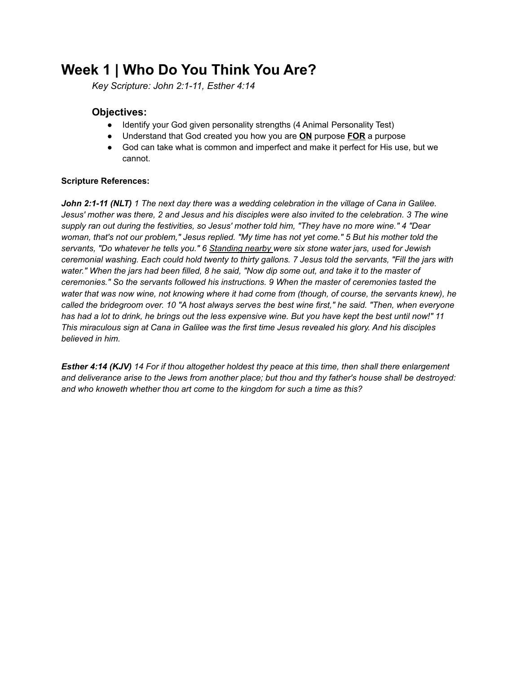# **Week 1 | Who Do You Think You Are?**

*Key Scripture: John 2:1-11, Esther 4:14*

#### **Objectives:**

- Identify your God given personality strengths (4 Animal Personality Test)
- Understand that God created you how you are **ON** purpose **FOR** a purpose
- God can take what is common and imperfect and make it perfect for His use, but we cannot.

#### **Scripture References:**

John 2:1-11 (NLT) 1 The next day there was a wedding celebration in the village of Cana in Galilee. Jesus' mother was there, 2 and Jesus and his disciples were also invited to the celebration. 3 The wine supply ran out during the festivities, so Jesus' mother told him, "They have no more wine." 4 "Dear woman, that's not our problem," Jesus replied. "My time has not yet come." 5 But his mother told the *servants, "Do whatever he tells you." 6 Standing nearby were six stone water jars, used for Jewish* ceremonial washing. Each could hold twenty to thirty gallons. 7 Jesus told the servants, "Fill the jars with water." When the jars had been filled, 8 he said, "Now dip some out, and take it to the master of *ceremonies." So the servants followed his instructions. 9 When the master of ceremonies tasted the* water that was now wine, not knowing where it had come from (though, of course, the servants knew), he called the bridegroom over. 10 "A host always serves the best wine first," he said. "Then, when everyone has had a lot to drink, he brings out the less expensive wine. But you have kept the best until now!" 11 This miraculous sign at Cana in Galilee was the first time Jesus revealed his glory. And his disciples *believed in him.*

Esther 4:14 (KJV) 14 For if thou altogether holdest thy peace at this time, then shall there enlargement and deliverance arise to the Jews from another place; but thou and thy father's house shall be destroyed: *and who knoweth whether thou art come to the kingdom for such a time as this?*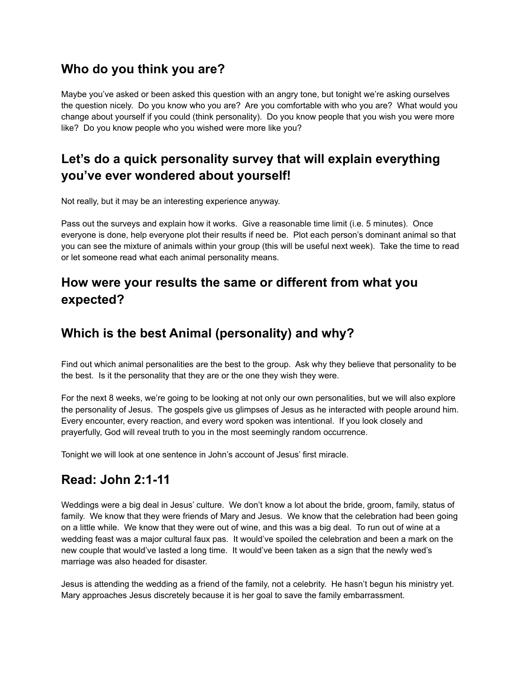#### **Who do you think you are?**

Maybe you've asked or been asked this question with an angry tone, but tonight we're asking ourselves the question nicely. Do you know who you are? Are you comfortable with who you are? What would you change about yourself if you could (think personality). Do you know people that you wish you were more like? Do you know people who you wished were more like you?

## **Let's do a quick personality survey that will explain everything you've ever wondered about yourself!**

Not really, but it may be an interesting experience anyway.

Pass out the surveys and explain how it works. Give a reasonable time limit (i.e. 5 minutes). Once everyone is done, help everyone plot their results if need be. Plot each person's dominant animal so that you can see the mixture of animals within your group (this will be useful next week). Take the time to read or let someone read what each animal personality means.

### **How were your results the same or different from what you expected?**

## **Which is the best Animal (personality) and why?**

Find out which animal personalities are the best to the group. Ask why they believe that personality to be the best. Is it the personality that they are or the one they wish they were.

For the next 8 weeks, we're going to be looking at not only our own personalities, but we will also explore the personality of Jesus. The gospels give us glimpses of Jesus as he interacted with people around him. Every encounter, every reaction, and every word spoken was intentional. If you look closely and prayerfully, God will reveal truth to you in the most seemingly random occurrence.

Tonight we will look at one sentence in John's account of Jesus' first miracle.

## **Read: John 2:1-11**

Weddings were a big deal in Jesus' culture. We don't know a lot about the bride, groom, family, status of family. We know that they were friends of Mary and Jesus. We know that the celebration had been going on a little while. We know that they were out of wine, and this was a big deal. To run out of wine at a wedding feast was a major cultural faux pas. It would've spoiled the celebration and been a mark on the new couple that would've lasted a long time. It would've been taken as a sign that the newly wed's marriage was also headed for disaster.

Jesus is attending the wedding as a friend of the family, not a celebrity. He hasn't begun his ministry yet. Mary approaches Jesus discretely because it is her goal to save the family embarrassment.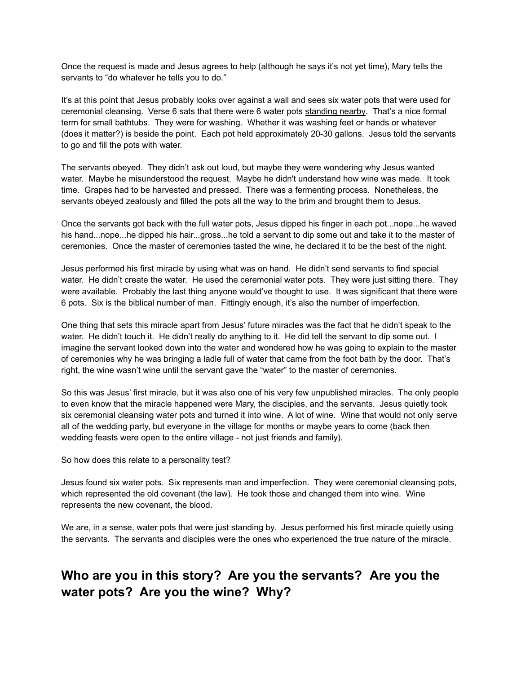Once the request is made and Jesus agrees to help (although he says it's not yet time), Mary tells the servants to "do whatever he tells you to do."

It's at this point that Jesus probably looks over against a wall and sees six water pots that were used for ceremonial cleansing. Verse 6 sats that there were 6 water pots standing nearby. That's a nice formal term for small bathtubs. They were for washing. Whether it was washing feet or hands or whatever (does it matter?) is beside the point. Each pot held approximately 20-30 gallons. Jesus told the servants to go and fill the pots with water.

The servants obeyed. They didn't ask out loud, but maybe they were wondering why Jesus wanted water. Maybe he misunderstood the request. Maybe he didn't understand how wine was made. It took time. Grapes had to be harvested and pressed. There was a fermenting process. Nonetheless, the servants obeyed zealously and filled the pots all the way to the brim and brought them to Jesus.

Once the servants got back with the full water pots, Jesus dipped his finger in each pot...nope...he waved his hand...nope...he dipped his hair...gross...he told a servant to dip some out and take it to the master of ceremonies. Once the master of ceremonies tasted the wine, he declared it to be the best of the night.

Jesus performed his first miracle by using what was on hand. He didn't send servants to find special water. He didn't create the water. He used the ceremonial water pots. They were just sitting there. They were available. Probably the last thing anyone would've thought to use. It was significant that there were 6 pots. Six is the biblical number of man. Fittingly enough, it's also the number of imperfection.

One thing that sets this miracle apart from Jesus' future miracles was the fact that he didn't speak to the water. He didn't touch it. He didn't really do anything to it. He did tell the servant to dip some out. I imagine the servant looked down into the water and wondered how he was going to explain to the master of ceremonies why he was bringing a ladle full of water that came from the foot bath by the door. That's right, the wine wasn't wine until the servant gave the "water" to the master of ceremonies.

So this was Jesus' first miracle, but it was also one of his very few unpublished miracles. The only people to even know that the miracle happened were Mary, the disciples, and the servants. Jesus quietly took six ceremonial cleansing water pots and turned it into wine. A lot of wine. Wine that would not only serve all of the wedding party, but everyone in the village for months or maybe years to come (back then wedding feasts were open to the entire village - not just friends and family).

So how does this relate to a personality test?

Jesus found six water pots. Six represents man and imperfection. They were ceremonial cleansing pots, which represented the old covenant (the law). He took those and changed them into wine. Wine represents the new covenant, the blood.

We are, in a sense, water pots that were just standing by. Jesus performed his first miracle quietly using the servants. The servants and disciples were the ones who experienced the true nature of the miracle.

# **Who are you in this story? Are you the servants? Are you the water pots? Are you the wine? Why?**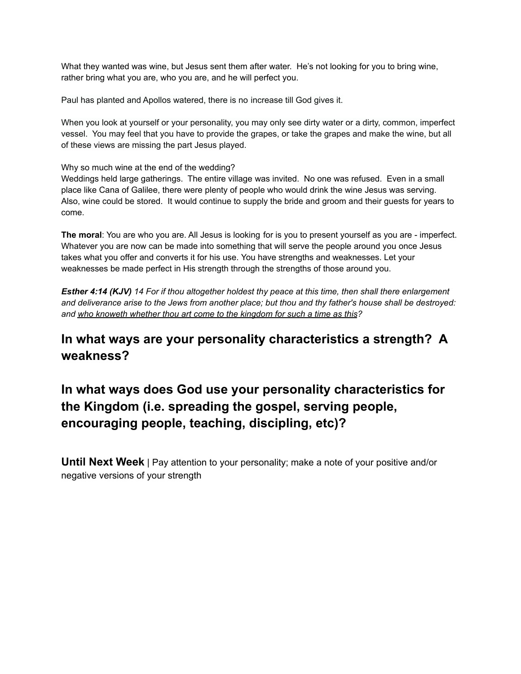What they wanted was wine, but Jesus sent them after water. He's not looking for you to bring wine, rather bring what you are, who you are, and he will perfect you.

Paul has planted and Apollos watered, there is no increase till God gives it.

When you look at yourself or your personality, you may only see dirty water or a dirty, common, imperfect vessel. You may feel that you have to provide the grapes, or take the grapes and make the wine, but all of these views are missing the part Jesus played.

#### Why so much wine at the end of the wedding?

Weddings held large gatherings. The entire village was invited. No one was refused. Even in a small place like Cana of Galilee, there were plenty of people who would drink the wine Jesus was serving. Also, wine could be stored. It would continue to supply the bride and groom and their guests for years to come.

**The moral**: You are who you are. All Jesus is looking for is you to present yourself as you are - imperfect. Whatever you are now can be made into something that will serve the people around you once Jesus takes what you offer and converts it for his use. You have strengths and weaknesses. Let your weaknesses be made perfect in His strength through the strengths of those around you.

**Esther 4:14 (KJV)** 14 For if thou altogether holdest thy peace at this time, then shall there enlargement and deliverance arise to the Jews from another place; but thou and thy father's house shall be destroyed: *and who knoweth whether thou art come to the kingdom for such a time as this?*

### **In what ways are your personality characteristics a strength? A weakness?**

# **In what ways does God use your personality characteristics for the Kingdom (i.e. spreading the gospel, serving people, encouraging people, teaching, discipling, etc)?**

**Until Next Week** | Pay attention to your personality; make a note of your positive and/or negative versions of your strength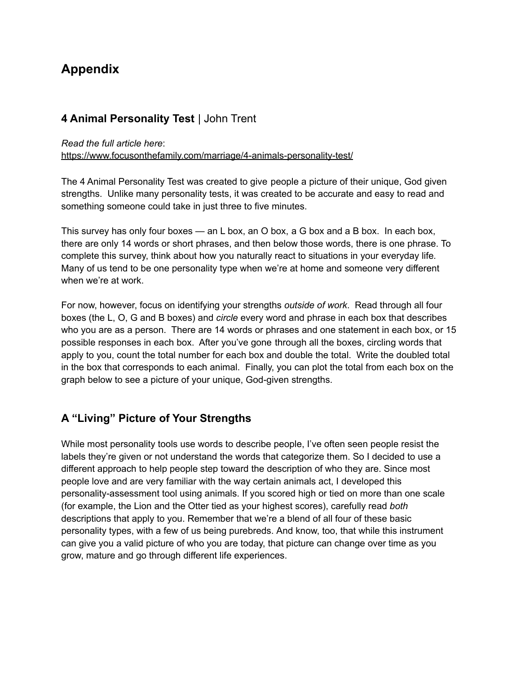# **Appendix**

#### **4 Animal Personality Test** | John Trent

#### *Read the full article here*:

<https://www.focusonthefamily.com/marriage/4-animals-personality-test/>

The 4 Animal Personality Test was created to give people a picture of their unique, God given strengths. Unlike many personality tests, it was created to be accurate and easy to read and something someone could take in just three to five minutes.

This survey has only four boxes — an L box, an O box, a G box and a B box. In each box, there are only 14 words or short phrases, and then below those words, there is one phrase. To complete this survey, think about how you naturally react to situations in your everyday life*.* Many of us tend to be one personality type when we're at home and someone very different when we're at work.

For now, however, focus on identifying your strengths *outside of work*. Read through all four boxes (the L, O, G and B boxes) and *circle* every word and phrase in each box that describes who you are as a person. There are 14 words or phrases and one statement in each box, or 15 possible responses in each box. After you've gone through all the boxes, circling words that apply to you, count the total number for each box and double the total. Write the doubled total in the box that corresponds to each animal. Finally, you can plot the total from each box on the graph below to see a picture of your unique, God-given strengths.

#### **A "Living" Picture of Your Strengths**

While most personality tools use words to describe people, I've often seen people resist the labels they're given or not understand the words that categorize them. So I decided to use a different approach to help people step toward the description of who they are. Since most people love and are very familiar with the way certain animals act, I developed this personality-assessment tool using animals. If you scored high or tied on more than one scale (for example, the Lion and the Otter tied as your highest scores), carefully read *both* descriptions that apply to you. Remember that we're a blend of all four of these basic personality types, with a few of us being purebreds. And know, too, that while this instrument can give you a valid picture of who you are today, that picture can change over time as you grow, mature and go through different life experiences.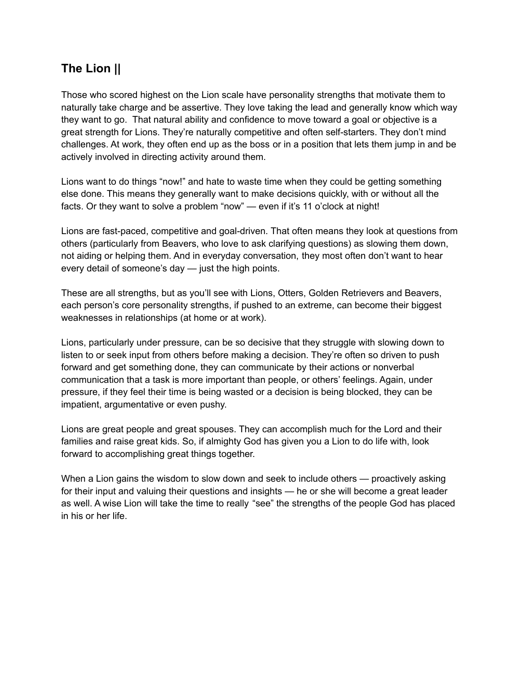## **The Lion ||**

Those who scored highest on the Lion scale have personality strengths that motivate them to naturally take charge and be assertive. They love taking the lead and generally know which way they want to go. That natural ability and confidence to move toward a goal or objective is a great strength for Lions. They're naturally competitive and often self-starters. They don't mind challenges. At work, they often end up as the boss or in a position that lets them jump in and be actively involved in directing activity around them.

Lions want to do things "now!" and hate to waste time when they could be getting something else done. This means they generally want to make decisions quickly, with or without all the facts. Or they want to solve a problem "now" — even if it's 11 o'clock at night!

Lions are fast-paced, competitive and goal-driven. That often means they look at questions from others (particularly from Beavers, who love to ask clarifying questions) as slowing them down, not aiding or helping them. And in everyday conversation, they most often don't want to hear every detail of someone's day — just the high points.

These are all strengths, but as you'll see with Lions, Otters, Golden Retrievers and Beavers, each person's core personality strengths, if pushed to an extreme, can become their biggest weaknesses in relationships (at home or at work).

Lions, particularly under pressure, can be so decisive that they struggle with slowing down to listen to or seek input from others before making a decision. They're often so driven to push forward and get something done, they can communicate by their actions or nonverbal communication that a task is more important than people, or others' feelings. Again, under pressure, if they feel their time is being wasted or a decision is being blocked, they can be impatient, argumentative or even pushy.

Lions are great people and great spouses. They can accomplish much for the Lord and their families and raise great kids. So, if almighty God has given you a Lion to do life with, look forward to accomplishing great things together.

When a Lion gains the wisdom to slow down and seek to include others — proactively asking for their input and valuing their questions and insights — he or she will become a great leader as well. A wise Lion will take the time to really "see" the strengths of the people God has placed in his or her life.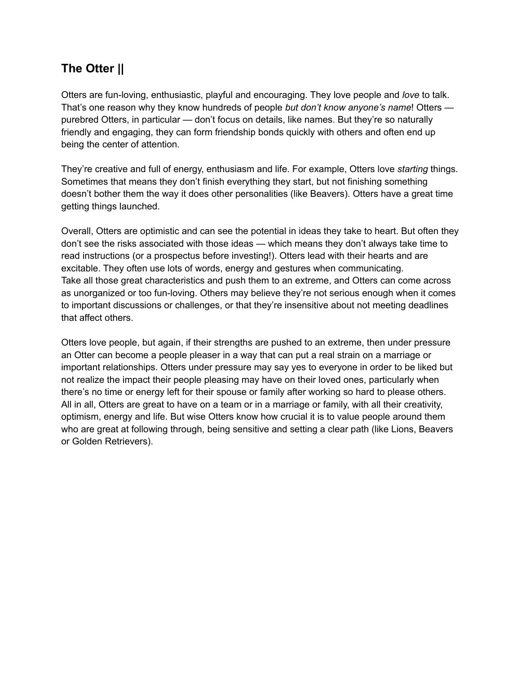## **The Otter ||**

Otters are fun-loving, enthusiastic, playful and encouraging. They love people and *love* to talk. That's one reason why they know hundreds of people *but don't know anyone's name*! Otters purebred Otters, in particular — don't focus on details, like names. But they're so naturally friendly and engaging, they can form friendship bonds quickly with others and often end up being the center of attention.

They're creative and full of energy, enthusiasm and life. For example, Otters love *starting* things. Sometimes that means they don't finish everything they start, but not finishing something doesn't bother them the way it does other personalities (like Beavers). Otters have a great time getting things launched.

Overall, Otters are optimistic and can see the potential in ideas they take to heart. But often they don't see the risks associated with those ideas — which means they don't always take time to read instructions (or a prospectus before investing!). Otters lead with their hearts and are excitable. They often use lots of words, energy and gestures when communicating. Take all those great characteristics and push them to an extreme, and Otters can come across as unorganized or too fun-loving. Others may believe they're not serious enough when it comes to important discussions or challenges, or that they're insensitive about not meeting deadlines that affect others.

Otters love people, but again, if their strengths are pushed to an extreme, then under pressure an Otter can become a people pleaser in a way that can put a real strain on a marriage or important relationships. Otters under pressure may say yes to everyone in order to be liked but not realize the impact their people pleasing may have on their loved ones, particularly when there's no time or energy left for their spouse or family after working so hard to please others. All in all, Otters are great to have on a team or in a marriage or family, with all their creativity, optimism, energy and life. But wise Otters know how crucial it is to value people around them who are great at following through, being sensitive and setting a clear path (like Lions, Beavers or Golden Retrievers).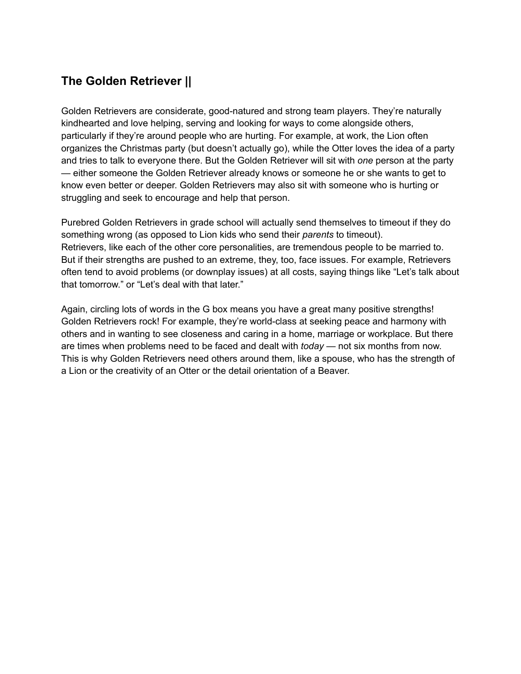#### **The Golden Retriever ||**

Golden Retrievers are considerate, good-natured and strong team players. They're naturally kindhearted and love helping, serving and looking for ways to come alongside others, particularly if they're around people who are hurting. For example, at work, the Lion often organizes the Christmas party (but doesn't actually go), while the Otter loves the idea of a party and tries to talk to everyone there. But the Golden Retriever will sit with *one* person at the party — either someone the Golden Retriever already knows or someone he or she wants to get to know even better or deeper. Golden Retrievers may also sit with someone who is hurting or struggling and seek to encourage and help that person.

Purebred Golden Retrievers in grade school will actually send themselves to timeout if they do something wrong (as opposed to Lion kids who send their *parents* to timeout). Retrievers, like each of the other core personalities, are tremendous people to be married to. But if their strengths are pushed to an extreme, they, too, face issues. For example, Retrievers often tend to avoid problems (or downplay issues) at all costs, saying things like "Let's talk about that tomorrow." or "Let's deal with that later."

Again, circling lots of words in the G box means you have a great many positive strengths! Golden Retrievers rock! For example, they're world-class at seeking peace and harmony with others and in wanting to see closeness and caring in a home, marriage or workplace. But there are times when problems need to be faced and dealt with *today* — not six months from now. This is why Golden Retrievers need others around them, like a spouse, who has the strength of a Lion or the creativity of an Otter or the detail orientation of a Beaver.